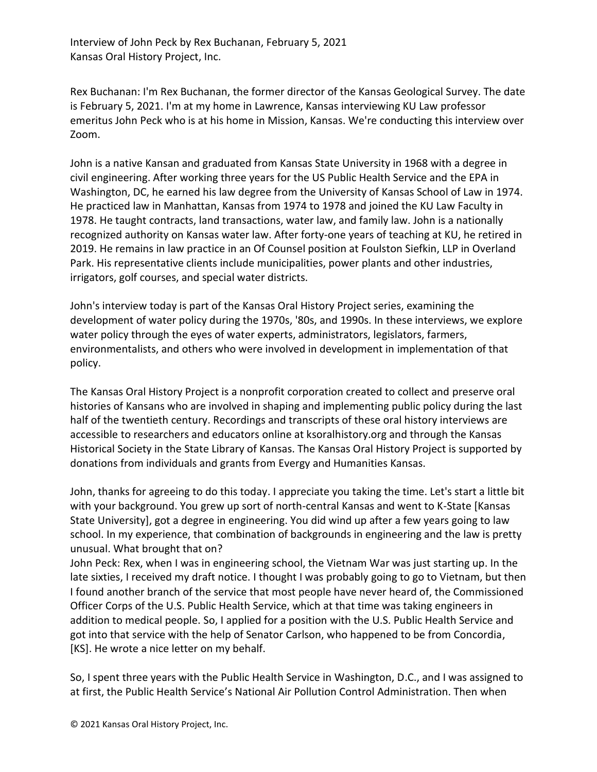Interview of John Peck by Rex Buchanan, February 5, 2021 Kansas Oral History Project, Inc.

Rex Buchanan: I'm Rex Buchanan, the former director of the Kansas Geological Survey. The date is February 5, 2021. I'm at my home in Lawrence, Kansas interviewing KU Law professor emeritus John Peck who is at his home in Mission, Kansas. We're conducting this interview over Zoom.

John is a native Kansan and graduated from Kansas State University in 1968 with a degree in civil engineering. After working three years for the US Public Health Service and the EPA in Washington, DC, he earned his law degree from the University of Kansas School of Law in 1974. He practiced law in Manhattan, Kansas from 1974 to 1978 and joined the KU Law Faculty in 1978. He taught contracts, land transactions, water law, and family law. John is a nationally recognized authority on Kansas water law. After forty-one years of teaching at KU, he retired in 2019. He remains in law practice in an Of Counsel position at Foulston Siefkin, LLP in Overland Park. His representative clients include municipalities, power plants and other industries, irrigators, golf courses, and special water districts.

John's interview today is part of the Kansas Oral History Project series, examining the development of water policy during the 1970s, '80s, and 1990s. In these interviews, we explore water policy through the eyes of water experts, administrators, legislators, farmers, environmentalists, and others who were involved in development in implementation of that policy.

The Kansas Oral History Project is a nonprofit corporation created to collect and preserve oral histories of Kansans who are involved in shaping and implementing public policy during the last half of the twentieth century. Recordings and transcripts of these oral history interviews are accessible to researchers and educators online at ksoralhistory.org and through the Kansas Historical Society in the State Library of Kansas. The Kansas Oral History Project is supported by donations from individuals and grants from Evergy and Humanities Kansas.

John, thanks for agreeing to do this today. I appreciate you taking the time. Let's start a little bit with your background. You grew up sort of north-central Kansas and went to K-State [Kansas State University], got a degree in engineering. You did wind up after a few years going to law school. In my experience, that combination of backgrounds in engineering and the law is pretty unusual. What brought that on?

John Peck: Rex, when I was in engineering school, the Vietnam War was just starting up. In the late sixties, I received my draft notice. I thought I was probably going to go to Vietnam, but then I found another branch of the service that most people have never heard of, the Commissioned Officer Corps of the U.S. Public Health Service, which at that time was taking engineers in addition to medical people. So, I applied for a position with the U.S. Public Health Service and got into that service with the help of Senator Carlson, who happened to be from Concordia, [KS]. He wrote a nice letter on my behalf.

So, I spent three years with the Public Health Service in Washington, D.C., and I was assigned to at first, the Public Health Service's National Air Pollution Control Administration. Then when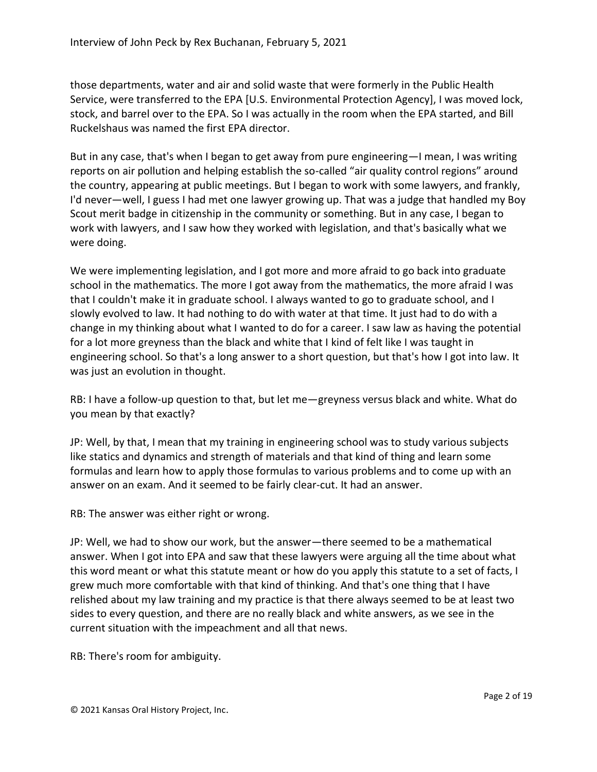those departments, water and air and solid waste that were formerly in the Public Health Service, were transferred to the EPA [U.S. Environmental Protection Agency], I was moved lock, stock, and barrel over to the EPA. So I was actually in the room when the EPA started, and Bill Ruckelshaus was named the first EPA director.

But in any case, that's when I began to get away from pure engineering—I mean, I was writing reports on air pollution and helping establish the so-called "air quality control regions" around the country, appearing at public meetings. But I began to work with some lawyers, and frankly, I'd never—well, I guess I had met one lawyer growing up. That was a judge that handled my Boy Scout merit badge in citizenship in the community or something. But in any case, I began to work with lawyers, and I saw how they worked with legislation, and that's basically what we were doing.

We were implementing legislation, and I got more and more afraid to go back into graduate school in the mathematics. The more I got away from the mathematics, the more afraid I was that I couldn't make it in graduate school. I always wanted to go to graduate school, and I slowly evolved to law. It had nothing to do with water at that time. It just had to do with a change in my thinking about what I wanted to do for a career. I saw law as having the potential for a lot more greyness than the black and white that I kind of felt like I was taught in engineering school. So that's a long answer to a short question, but that's how I got into law. It was just an evolution in thought.

RB: I have a follow-up question to that, but let me—greyness versus black and white. What do you mean by that exactly?

JP: Well, by that, I mean that my training in engineering school was to study various subjects like statics and dynamics and strength of materials and that kind of thing and learn some formulas and learn how to apply those formulas to various problems and to come up with an answer on an exam. And it seemed to be fairly clear-cut. It had an answer.

RB: The answer was either right or wrong.

JP: Well, we had to show our work, but the answer—there seemed to be a mathematical answer. When I got into EPA and saw that these lawyers were arguing all the time about what this word meant or what this statute meant or how do you apply this statute to a set of facts, I grew much more comfortable with that kind of thinking. And that's one thing that I have relished about my law training and my practice is that there always seemed to be at least two sides to every question, and there are no really black and white answers, as we see in the current situation with the impeachment and all that news.

RB: There's room for ambiguity.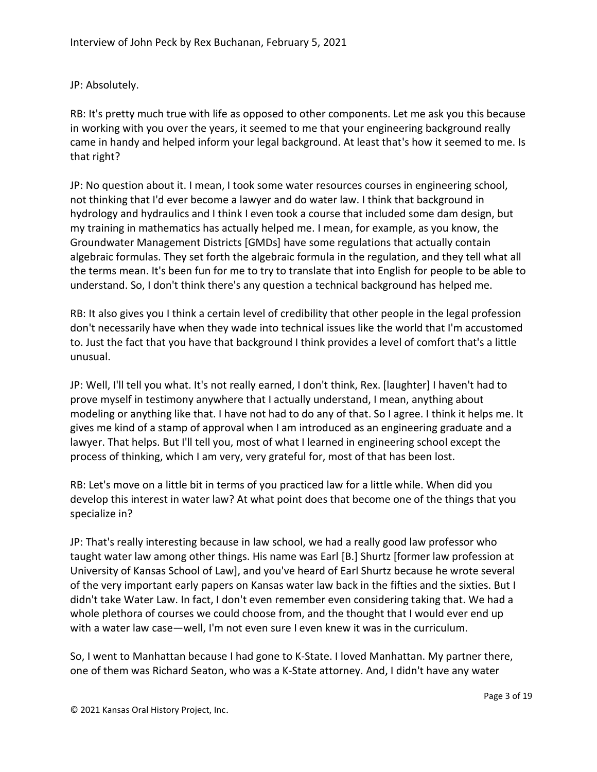## JP: Absolutely.

RB: It's pretty much true with life as opposed to other components. Let me ask you this because in working with you over the years, it seemed to me that your engineering background really came in handy and helped inform your legal background. At least that's how it seemed to me. Is that right?

JP: No question about it. I mean, I took some water resources courses in engineering school, not thinking that I'd ever become a lawyer and do water law. I think that background in hydrology and hydraulics and I think I even took a course that included some dam design, but my training in mathematics has actually helped me. I mean, for example, as you know, the Groundwater Management Districts [GMDs] have some regulations that actually contain algebraic formulas. They set forth the algebraic formula in the regulation, and they tell what all the terms mean. It's been fun for me to try to translate that into English for people to be able to understand. So, I don't think there's any question a technical background has helped me.

RB: It also gives you I think a certain level of credibility that other people in the legal profession don't necessarily have when they wade into technical issues like the world that I'm accustomed to. Just the fact that you have that background I think provides a level of comfort that's a little unusual.

JP: Well, I'll tell you what. It's not really earned, I don't think, Rex. [laughter] I haven't had to prove myself in testimony anywhere that I actually understand, I mean, anything about modeling or anything like that. I have not had to do any of that. So I agree. I think it helps me. It gives me kind of a stamp of approval when I am introduced as an engineering graduate and a lawyer. That helps. But I'll tell you, most of what I learned in engineering school except the process of thinking, which I am very, very grateful for, most of that has been lost.

RB: Let's move on a little bit in terms of you practiced law for a little while. When did you develop this interest in water law? At what point does that become one of the things that you specialize in?

JP: That's really interesting because in law school, we had a really good law professor who taught water law among other things. His name was Earl [B.] Shurtz [former law profession at University of Kansas School of Law], and you've heard of Earl Shurtz because he wrote several of the very important early papers on Kansas water law back in the fifties and the sixties. But I didn't take Water Law. In fact, I don't even remember even considering taking that. We had a whole plethora of courses we could choose from, and the thought that I would ever end up with a water law case—well, I'm not even sure I even knew it was in the curriculum.

So, I went to Manhattan because I had gone to K-State. I loved Manhattan. My partner there, one of them was Richard Seaton, who was a K-State attorney. And, I didn't have any water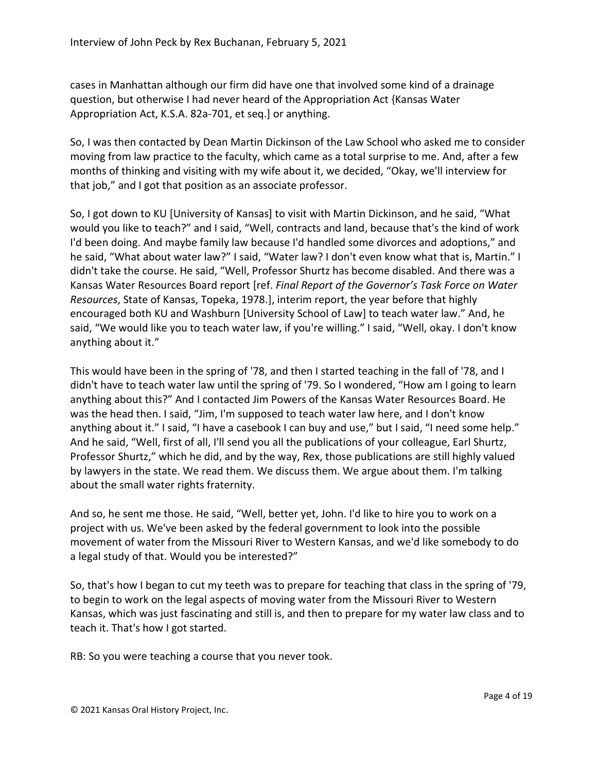cases in Manhattan although our firm did have one that involved some kind of a drainage question, but otherwise I had never heard of the Appropriation Act {Kansas Water Appropriation Act, K.S.A. 82a-701, et seq.] or anything.

So, I was then contacted by Dean Martin Dickinson of the Law School who asked me to consider moving from law practice to the faculty, which came as a total surprise to me. And, after a few months of thinking and visiting with my wife about it, we decided, "Okay, we'll interview for that job," and I got that position as an associate professor.

So, I got down to KU [University of Kansas] to visit with Martin Dickinson, and he said, "What would you like to teach?" and I said, "Well, contracts and land, because that's the kind of work I'd been doing. And maybe family law because I'd handled some divorces and adoptions," and he said, "What about water law?" I said, "Water law? I don't even know what that is, Martin." I didn't take the course. He said, "Well, Professor Shurtz has become disabled. And there was a Kansas Water Resources Board report [ref. *Final Report of the Governor's Task Force on Water Resources*, State of Kansas, Topeka, 1978.], interim report, the year before that highly encouraged both KU and Washburn [University School of Law] to teach water law." And, he said, "We would like you to teach water law, if you're willing." I said, "Well, okay. I don't know anything about it."

This would have been in the spring of '78, and then I started teaching in the fall of '78, and I didn't have to teach water law until the spring of '79. So I wondered, "How am I going to learn anything about this?" And I contacted Jim Powers of the Kansas Water Resources Board. He was the head then. I said, "Jim, I'm supposed to teach water law here, and I don't know anything about it." I said, "I have a casebook I can buy and use," but I said, "I need some help." And he said, "Well, first of all, I'll send you all the publications of your colleague, Earl Shurtz, Professor Shurtz," which he did, and by the way, Rex, those publications are still highly valued by lawyers in the state. We read them. We discuss them. We argue about them. I'm talking about the small water rights fraternity.

And so, he sent me those. He said, "Well, better yet, John. I'd like to hire you to work on a project with us. We've been asked by the federal government to look into the possible movement of water from the Missouri River to Western Kansas, and we'd like somebody to do a legal study of that. Would you be interested?"

So, that's how I began to cut my teeth was to prepare for teaching that class in the spring of '79, to begin to work on the legal aspects of moving water from the Missouri River to Western Kansas, which was just fascinating and still is, and then to prepare for my water law class and to teach it. That's how I got started.

RB: So you were teaching a course that you never took.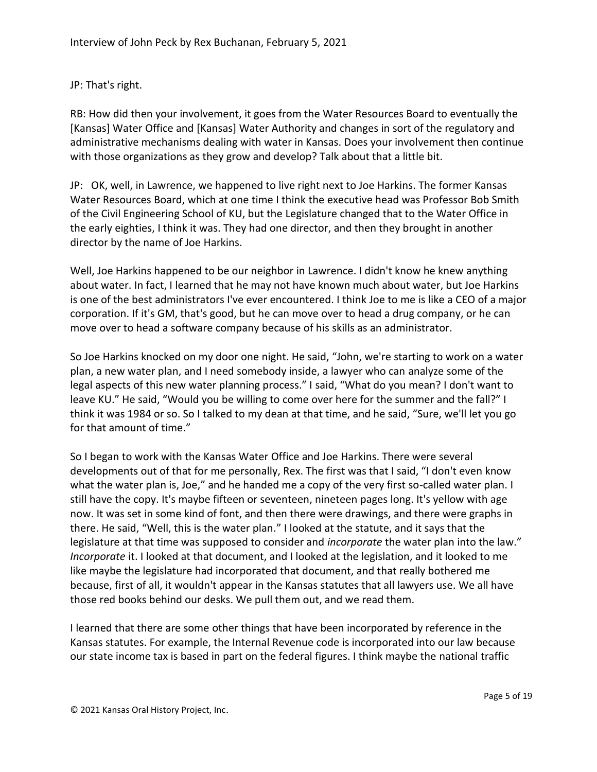## JP: That's right.

RB: How did then your involvement, it goes from the Water Resources Board to eventually the [Kansas] Water Office and [Kansas] Water Authority and changes in sort of the regulatory and administrative mechanisms dealing with water in Kansas. Does your involvement then continue with those organizations as they grow and develop? Talk about that a little bit.

JP: OK, well, in Lawrence, we happened to live right next to Joe Harkins. The former Kansas Water Resources Board, which at one time I think the executive head was Professor Bob Smith of the Civil Engineering School of KU, but the Legislature changed that to the Water Office in the early eighties, I think it was. They had one director, and then they brought in another director by the name of Joe Harkins.

Well, Joe Harkins happened to be our neighbor in Lawrence. I didn't know he knew anything about water. In fact, I learned that he may not have known much about water, but Joe Harkins is one of the best administrators I've ever encountered. I think Joe to me is like a CEO of a major corporation. If it's GM, that's good, but he can move over to head a drug company, or he can move over to head a software company because of his skills as an administrator.

So Joe Harkins knocked on my door one night. He said, "John, we're starting to work on a water plan, a new water plan, and I need somebody inside, a lawyer who can analyze some of the legal aspects of this new water planning process." I said, "What do you mean? I don't want to leave KU." He said, "Would you be willing to come over here for the summer and the fall?" I think it was 1984 or so. So I talked to my dean at that time, and he said, "Sure, we'll let you go for that amount of time."

So I began to work with the Kansas Water Office and Joe Harkins. There were several developments out of that for me personally, Rex. The first was that I said, "I don't even know what the water plan is, Joe," and he handed me a copy of the very first so-called water plan. I still have the copy. It's maybe fifteen or seventeen, nineteen pages long. It's yellow with age now. It was set in some kind of font, and then there were drawings, and there were graphs in there. He said, "Well, this is the water plan." I looked at the statute, and it says that the legislature at that time was supposed to consider and *incorporate* the water plan into the law." *Incorporate* it. I looked at that document, and I looked at the legislation, and it looked to me like maybe the legislature had incorporated that document, and that really bothered me because, first of all, it wouldn't appear in the Kansas statutes that all lawyers use. We all have those red books behind our desks. We pull them out, and we read them.

I learned that there are some other things that have been incorporated by reference in the Kansas statutes. For example, the Internal Revenue code is incorporated into our law because our state income tax is based in part on the federal figures. I think maybe the national traffic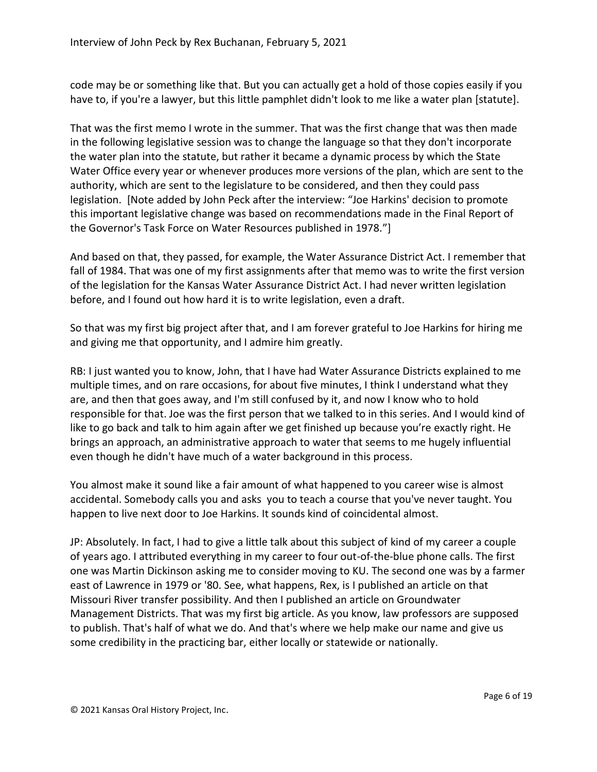code may be or something like that. But you can actually get a hold of those copies easily if you have to, if you're a lawyer, but this little pamphlet didn't look to me like a water plan [statute].

That was the first memo I wrote in the summer. That was the first change that was then made in the following legislative session was to change the language so that they don't incorporate the water plan into the statute, but rather it became a dynamic process by which the State Water Office every year or whenever produces more versions of the plan, which are sent to the authority, which are sent to the legislature to be considered, and then they could pass legislation. [Note added by John Peck after the interview: "Joe Harkins' decision to promote this important legislative change was based on recommendations made in the Final Report of the Governor's Task Force on Water Resources published in 1978."]

And based on that, they passed, for example, the Water Assurance District Act. I remember that fall of 1984. That was one of my first assignments after that memo was to write the first version of the legislation for the Kansas Water Assurance District Act. I had never written legislation before, and I found out how hard it is to write legislation, even a draft.

So that was my first big project after that, and I am forever grateful to Joe Harkins for hiring me and giving me that opportunity, and I admire him greatly.

RB: I just wanted you to know, John, that I have had Water Assurance Districts explained to me multiple times, and on rare occasions, for about five minutes, I think I understand what they are, and then that goes away, and I'm still confused by it, and now I know who to hold responsible for that. Joe was the first person that we talked to in this series. And I would kind of like to go back and talk to him again after we get finished up because you're exactly right. He brings an approach, an administrative approach to water that seems to me hugely influential even though he didn't have much of a water background in this process.

You almost make it sound like a fair amount of what happened to you career wise is almost accidental. Somebody calls you and asks you to teach a course that you've never taught. You happen to live next door to Joe Harkins. It sounds kind of coincidental almost.

JP: Absolutely. In fact, I had to give a little talk about this subject of kind of my career a couple of years ago. I attributed everything in my career to four out-of-the-blue phone calls. The first one was Martin Dickinson asking me to consider moving to KU. The second one was by a farmer east of Lawrence in 1979 or '80. See, what happens, Rex, is I published an article on that Missouri River transfer possibility. And then I published an article on Groundwater Management Districts. That was my first big article. As you know, law professors are supposed to publish. That's half of what we do. And that's where we help make our name and give us some credibility in the practicing bar, either locally or statewide or nationally.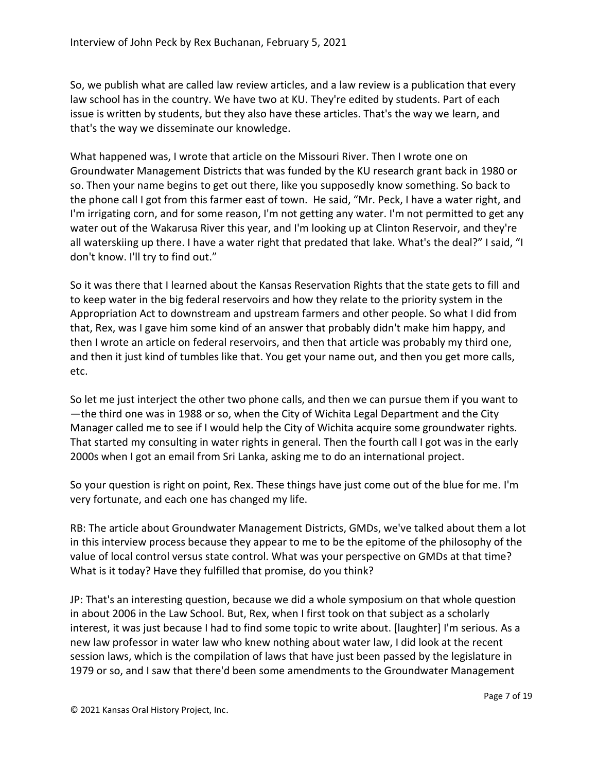So, we publish what are called law review articles, and a law review is a publication that every law school has in the country. We have two at KU. They're edited by students. Part of each issue is written by students, but they also have these articles. That's the way we learn, and that's the way we disseminate our knowledge.

What happened was, I wrote that article on the Missouri River. Then I wrote one on Groundwater Management Districts that was funded by the KU research grant back in 1980 or so. Then your name begins to get out there, like you supposedly know something. So back to the phone call I got from this farmer east of town. He said, "Mr. Peck, I have a water right, and I'm irrigating corn, and for some reason, I'm not getting any water. I'm not permitted to get any water out of the Wakarusa River this year, and I'm looking up at Clinton Reservoir, and they're all waterskiing up there. I have a water right that predated that lake. What's the deal?" I said, "I don't know. I'll try to find out."

So it was there that I learned about the Kansas Reservation Rights that the state gets to fill and to keep water in the big federal reservoirs and how they relate to the priority system in the Appropriation Act to downstream and upstream farmers and other people. So what I did from that, Rex, was I gave him some kind of an answer that probably didn't make him happy, and then I wrote an article on federal reservoirs, and then that article was probably my third one, and then it just kind of tumbles like that. You get your name out, and then you get more calls, etc.

So let me just interject the other two phone calls, and then we can pursue them if you want to —the third one was in 1988 or so, when the City of Wichita Legal Department and the City Manager called me to see if I would help the City of Wichita acquire some groundwater rights. That started my consulting in water rights in general. Then the fourth call I got was in the early 2000s when I got an email from Sri Lanka, asking me to do an international project.

So your question is right on point, Rex. These things have just come out of the blue for me. I'm very fortunate, and each one has changed my life.

RB: The article about Groundwater Management Districts, GMDs, we've talked about them a lot in this interview process because they appear to me to be the epitome of the philosophy of the value of local control versus state control. What was your perspective on GMDs at that time? What is it today? Have they fulfilled that promise, do you think?

JP: That's an interesting question, because we did a whole symposium on that whole question in about 2006 in the Law School. But, Rex, when I first took on that subject as a scholarly interest, it was just because I had to find some topic to write about. [laughter] I'm serious. As a new law professor in water law who knew nothing about water law, I did look at the recent session laws, which is the compilation of laws that have just been passed by the legislature in 1979 or so, and I saw that there'd been some amendments to the Groundwater Management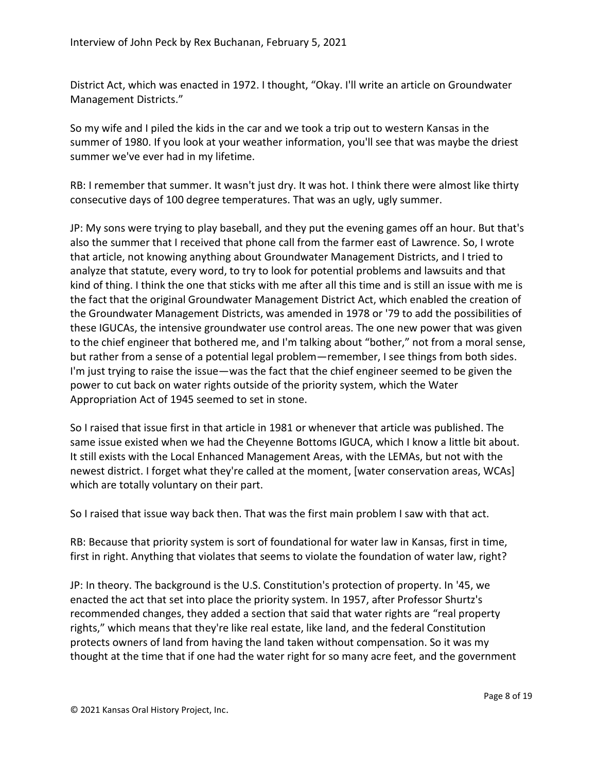District Act, which was enacted in 1972. I thought, "Okay. I'll write an article on Groundwater Management Districts."

So my wife and I piled the kids in the car and we took a trip out to western Kansas in the summer of 1980. If you look at your weather information, you'll see that was maybe the driest summer we've ever had in my lifetime.

RB: I remember that summer. It wasn't just dry. It was hot. I think there were almost like thirty consecutive days of 100 degree temperatures. That was an ugly, ugly summer.

JP: My sons were trying to play baseball, and they put the evening games off an hour. But that's also the summer that I received that phone call from the farmer east of Lawrence. So, I wrote that article, not knowing anything about Groundwater Management Districts, and I tried to analyze that statute, every word, to try to look for potential problems and lawsuits and that kind of thing. I think the one that sticks with me after all this time and is still an issue with me is the fact that the original Groundwater Management District Act, which enabled the creation of the Groundwater Management Districts, was amended in 1978 or '79 to add the possibilities of these IGUCAs, the intensive groundwater use control areas. The one new power that was given to the chief engineer that bothered me, and I'm talking about "bother," not from a moral sense, but rather from a sense of a potential legal problem—remember, I see things from both sides. I'm just trying to raise the issue—was the fact that the chief engineer seemed to be given the power to cut back on water rights outside of the priority system, which the Water Appropriation Act of 1945 seemed to set in stone.

So I raised that issue first in that article in 1981 or whenever that article was published. The same issue existed when we had the Cheyenne Bottoms IGUCA, which I know a little bit about. It still exists with the Local Enhanced Management Areas, with the LEMAs, but not with the newest district. I forget what they're called at the moment, [water conservation areas, WCAs] which are totally voluntary on their part.

So I raised that issue way back then. That was the first main problem I saw with that act.

RB: Because that priority system is sort of foundational for water law in Kansas, first in time, first in right. Anything that violates that seems to violate the foundation of water law, right?

JP: In theory. The background is the U.S. Constitution's protection of property. In '45, we enacted the act that set into place the priority system. In 1957, after Professor Shurtz's recommended changes, they added a section that said that water rights are "real property rights," which means that they're like real estate, like land, and the federal Constitution protects owners of land from having the land taken without compensation. So it was my thought at the time that if one had the water right for so many acre feet, and the government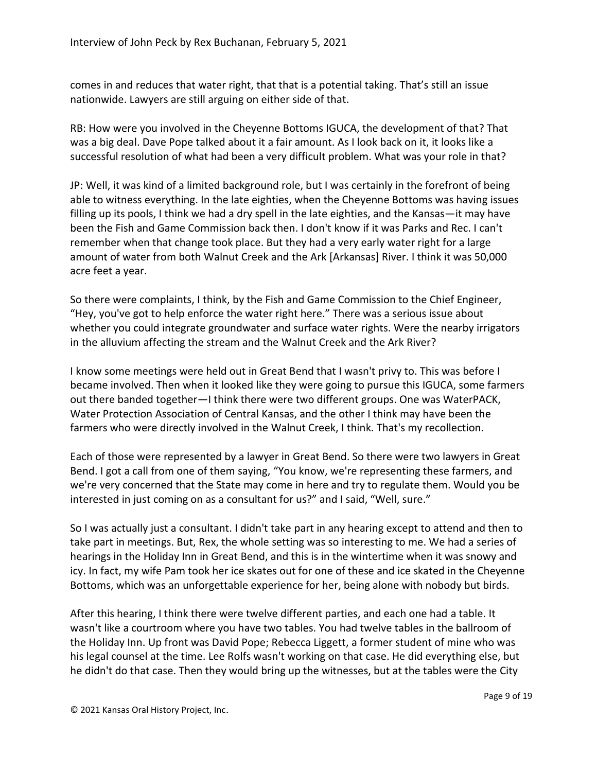comes in and reduces that water right, that that is a potential taking. That's still an issue nationwide. Lawyers are still arguing on either side of that.

RB: How were you involved in the Cheyenne Bottoms IGUCA, the development of that? That was a big deal. Dave Pope talked about it a fair amount. As I look back on it, it looks like a successful resolution of what had been a very difficult problem. What was your role in that?

JP: Well, it was kind of a limited background role, but I was certainly in the forefront of being able to witness everything. In the late eighties, when the Cheyenne Bottoms was having issues filling up its pools, I think we had a dry spell in the late eighties, and the Kansas—it may have been the Fish and Game Commission back then. I don't know if it was Parks and Rec. I can't remember when that change took place. But they had a very early water right for a large amount of water from both Walnut Creek and the Ark [Arkansas] River. I think it was 50,000 acre feet a year.

So there were complaints, I think, by the Fish and Game Commission to the Chief Engineer, "Hey, you've got to help enforce the water right here." There was a serious issue about whether you could integrate groundwater and surface water rights. Were the nearby irrigators in the alluvium affecting the stream and the Walnut Creek and the Ark River?

I know some meetings were held out in Great Bend that I wasn't privy to. This was before I became involved. Then when it looked like they were going to pursue this IGUCA, some farmers out there banded together—I think there were two different groups. One was WaterPACK, Water Protection Association of Central Kansas, and the other I think may have been the farmers who were directly involved in the Walnut Creek, I think. That's my recollection.

Each of those were represented by a lawyer in Great Bend. So there were two lawyers in Great Bend. I got a call from one of them saying, "You know, we're representing these farmers, and we're very concerned that the State may come in here and try to regulate them. Would you be interested in just coming on as a consultant for us?" and I said, "Well, sure."

So I was actually just a consultant. I didn't take part in any hearing except to attend and then to take part in meetings. But, Rex, the whole setting was so interesting to me. We had a series of hearings in the Holiday Inn in Great Bend, and this is in the wintertime when it was snowy and icy. In fact, my wife Pam took her ice skates out for one of these and ice skated in the Cheyenne Bottoms, which was an unforgettable experience for her, being alone with nobody but birds.

After this hearing, I think there were twelve different parties, and each one had a table. It wasn't like a courtroom where you have two tables. You had twelve tables in the ballroom of the Holiday Inn. Up front was David Pope; Rebecca Liggett, a former student of mine who was his legal counsel at the time. Lee Rolfs wasn't working on that case. He did everything else, but he didn't do that case. Then they would bring up the witnesses, but at the tables were the City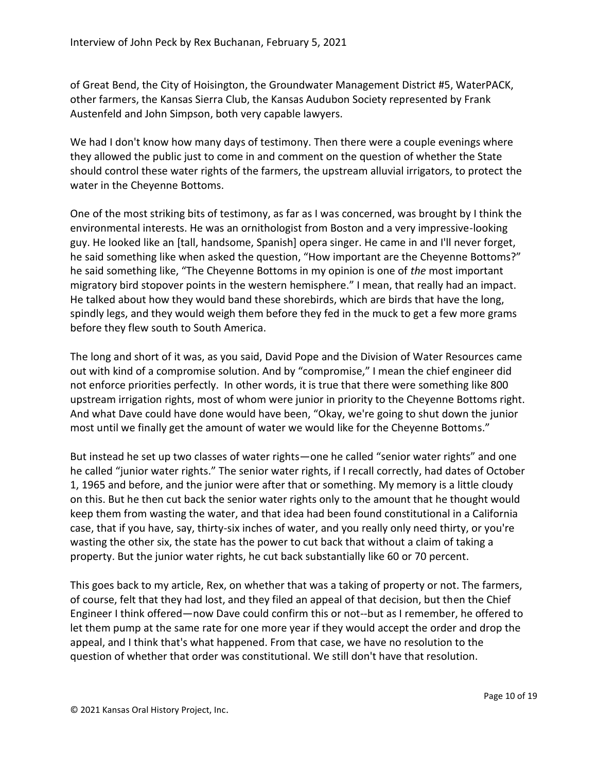of Great Bend, the City of Hoisington, the Groundwater Management District #5, WaterPACK, other farmers, the Kansas Sierra Club, the Kansas Audubon Society represented by Frank Austenfeld and John Simpson, both very capable lawyers.

We had I don't know how many days of testimony. Then there were a couple evenings where they allowed the public just to come in and comment on the question of whether the State should control these water rights of the farmers, the upstream alluvial irrigators, to protect the water in the Cheyenne Bottoms.

One of the most striking bits of testimony, as far as I was concerned, was brought by I think the environmental interests. He was an ornithologist from Boston and a very impressive-looking guy. He looked like an [tall, handsome, Spanish] opera singer. He came in and I'll never forget, he said something like when asked the question, "How important are the Cheyenne Bottoms?" he said something like, "The Cheyenne Bottoms in my opinion is one of *the* most important migratory bird stopover points in the western hemisphere." I mean, that really had an impact. He talked about how they would band these shorebirds, which are birds that have the long, spindly legs, and they would weigh them before they fed in the muck to get a few more grams before they flew south to South America.

The long and short of it was, as you said, David Pope and the Division of Water Resources came out with kind of a compromise solution. And by "compromise," I mean the chief engineer did not enforce priorities perfectly. In other words, it is true that there were something like 800 upstream irrigation rights, most of whom were junior in priority to the Cheyenne Bottoms right. And what Dave could have done would have been, "Okay, we're going to shut down the junior most until we finally get the amount of water we would like for the Cheyenne Bottoms."

But instead he set up two classes of water rights—one he called "senior water rights" and one he called "junior water rights." The senior water rights, if I recall correctly, had dates of October 1, 1965 and before, and the junior were after that or something. My memory is a little cloudy on this. But he then cut back the senior water rights only to the amount that he thought would keep them from wasting the water, and that idea had been found constitutional in a California case, that if you have, say, thirty-six inches of water, and you really only need thirty, or you're wasting the other six, the state has the power to cut back that without a claim of taking a property. But the junior water rights, he cut back substantially like 60 or 70 percent.

This goes back to my article, Rex, on whether that was a taking of property or not. The farmers, of course, felt that they had lost, and they filed an appeal of that decision, but then the Chief Engineer I think offered—now Dave could confirm this or not--but as I remember, he offered to let them pump at the same rate for one more year if they would accept the order and drop the appeal, and I think that's what happened. From that case, we have no resolution to the question of whether that order was constitutional. We still don't have that resolution.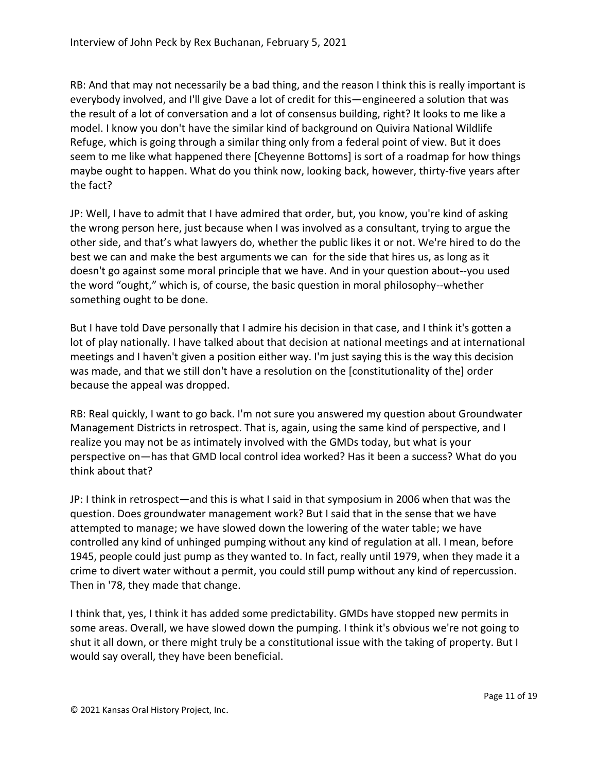RB: And that may not necessarily be a bad thing, and the reason I think this is really important is everybody involved, and I'll give Dave a lot of credit for this—engineered a solution that was the result of a lot of conversation and a lot of consensus building, right? It looks to me like a model. I know you don't have the similar kind of background on Quivira National Wildlife Refuge, which is going through a similar thing only from a federal point of view. But it does seem to me like what happened there [Cheyenne Bottoms] is sort of a roadmap for how things maybe ought to happen. What do you think now, looking back, however, thirty-five years after the fact?

JP: Well, I have to admit that I have admired that order, but, you know, you're kind of asking the wrong person here, just because when I was involved as a consultant, trying to argue the other side, and that's what lawyers do, whether the public likes it or not. We're hired to do the best we can and make the best arguments we can for the side that hires us, as long as it doesn't go against some moral principle that we have. And in your question about--you used the word "ought," which is, of course, the basic question in moral philosophy--whether something ought to be done.

But I have told Dave personally that I admire his decision in that case, and I think it's gotten a lot of play nationally. I have talked about that decision at national meetings and at international meetings and I haven't given a position either way. I'm just saying this is the way this decision was made, and that we still don't have a resolution on the [constitutionality of the] order because the appeal was dropped.

RB: Real quickly, I want to go back. I'm not sure you answered my question about Groundwater Management Districts in retrospect. That is, again, using the same kind of perspective, and I realize you may not be as intimately involved with the GMDs today, but what is your perspective on—has that GMD local control idea worked? Has it been a success? What do you think about that?

JP: I think in retrospect—and this is what I said in that symposium in 2006 when that was the question. Does groundwater management work? But I said that in the sense that we have attempted to manage; we have slowed down the lowering of the water table; we have controlled any kind of unhinged pumping without any kind of regulation at all. I mean, before 1945, people could just pump as they wanted to. In fact, really until 1979, when they made it a crime to divert water without a permit, you could still pump without any kind of repercussion. Then in '78, they made that change.

I think that, yes, I think it has added some predictability. GMDs have stopped new permits in some areas. Overall, we have slowed down the pumping. I think it's obvious we're not going to shut it all down, or there might truly be a constitutional issue with the taking of property. But I would say overall, they have been beneficial.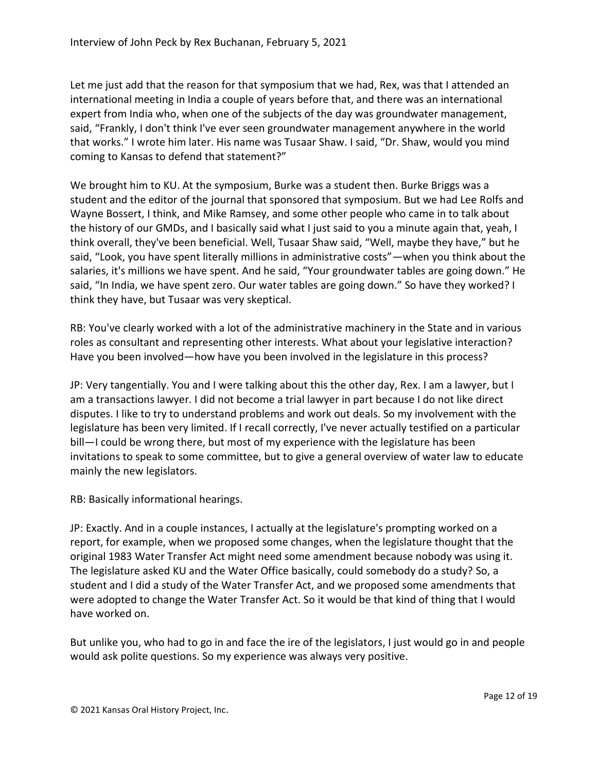Let me just add that the reason for that symposium that we had, Rex, was that I attended an international meeting in India a couple of years before that, and there was an international expert from India who, when one of the subjects of the day was groundwater management, said, "Frankly, I don't think I've ever seen groundwater management anywhere in the world that works." I wrote him later. His name was Tusaar Shaw. I said, "Dr. Shaw, would you mind coming to Kansas to defend that statement?"

We brought him to KU. At the symposium, Burke was a student then. Burke Briggs was a student and the editor of the journal that sponsored that symposium. But we had Lee Rolfs and Wayne Bossert, I think, and Mike Ramsey, and some other people who came in to talk about the history of our GMDs, and I basically said what I just said to you a minute again that, yeah, I think overall, they've been beneficial. Well, Tusaar Shaw said, "Well, maybe they have," but he said, "Look, you have spent literally millions in administrative costs"—when you think about the salaries, it's millions we have spent. And he said, "Your groundwater tables are going down." He said, "In India, we have spent zero. Our water tables are going down." So have they worked? I think they have, but Tusaar was very skeptical.

RB: You've clearly worked with a lot of the administrative machinery in the State and in various roles as consultant and representing other interests. What about your legislative interaction? Have you been involved—how have you been involved in the legislature in this process?

JP: Very tangentially. You and I were talking about this the other day, Rex. I am a lawyer, but I am a transactions lawyer. I did not become a trial lawyer in part because I do not like direct disputes. I like to try to understand problems and work out deals. So my involvement with the legislature has been very limited. If I recall correctly, I've never actually testified on a particular bill—I could be wrong there, but most of my experience with the legislature has been invitations to speak to some committee, but to give a general overview of water law to educate mainly the new legislators.

RB: Basically informational hearings.

JP: Exactly. And in a couple instances, I actually at the legislature's prompting worked on a report, for example, when we proposed some changes, when the legislature thought that the original 1983 Water Transfer Act might need some amendment because nobody was using it. The legislature asked KU and the Water Office basically, could somebody do a study? So, a student and I did a study of the Water Transfer Act, and we proposed some amendments that were adopted to change the Water Transfer Act. So it would be that kind of thing that I would have worked on.

But unlike you, who had to go in and face the ire of the legislators, I just would go in and people would ask polite questions. So my experience was always very positive.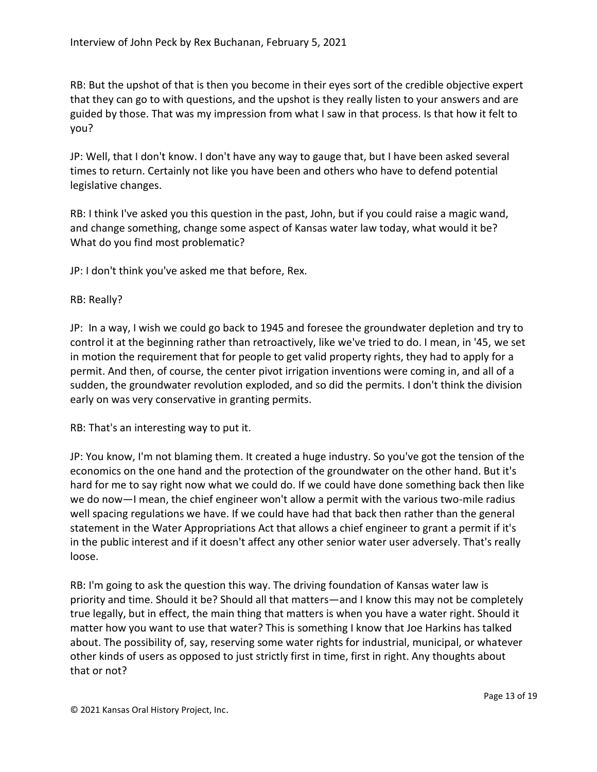RB: But the upshot of that is then you become in their eyes sort of the credible objective expert that they can go to with questions, and the upshot is they really listen to your answers and are guided by those. That was my impression from what I saw in that process. Is that how it felt to you?

JP: Well, that I don't know. I don't have any way to gauge that, but I have been asked several times to return. Certainly not like you have been and others who have to defend potential legislative changes.

RB: I think I've asked you this question in the past, John, but if you could raise a magic wand, and change something, change some aspect of Kansas water law today, what would it be? What do you find most problematic?

JP: I don't think you've asked me that before, Rex.

## RB: Really?

JP: In a way, I wish we could go back to 1945 and foresee the groundwater depletion and try to control it at the beginning rather than retroactively, like we've tried to do. I mean, in '45, we set in motion the requirement that for people to get valid property rights, they had to apply for a permit. And then, of course, the center pivot irrigation inventions were coming in, and all of a sudden, the groundwater revolution exploded, and so did the permits. I don't think the division early on was very conservative in granting permits.

RB: That's an interesting way to put it.

JP: You know, I'm not blaming them. It created a huge industry. So you've got the tension of the economics on the one hand and the protection of the groundwater on the other hand. But it's hard for me to say right now what we could do. If we could have done something back then like we do now—I mean, the chief engineer won't allow a permit with the various two-mile radius well spacing regulations we have. If we could have had that back then rather than the general statement in the Water Appropriations Act that allows a chief engineer to grant a permit if it's in the public interest and if it doesn't affect any other senior water user adversely. That's really loose.

RB: I'm going to ask the question this way. The driving foundation of Kansas water law is priority and time. Should it be? Should all that matters—and I know this may not be completely true legally, but in effect, the main thing that matters is when you have a water right. Should it matter how you want to use that water? This is something I know that Joe Harkins has talked about. The possibility of, say, reserving some water rights for industrial, municipal, or whatever other kinds of users as opposed to just strictly first in time, first in right. Any thoughts about that or not?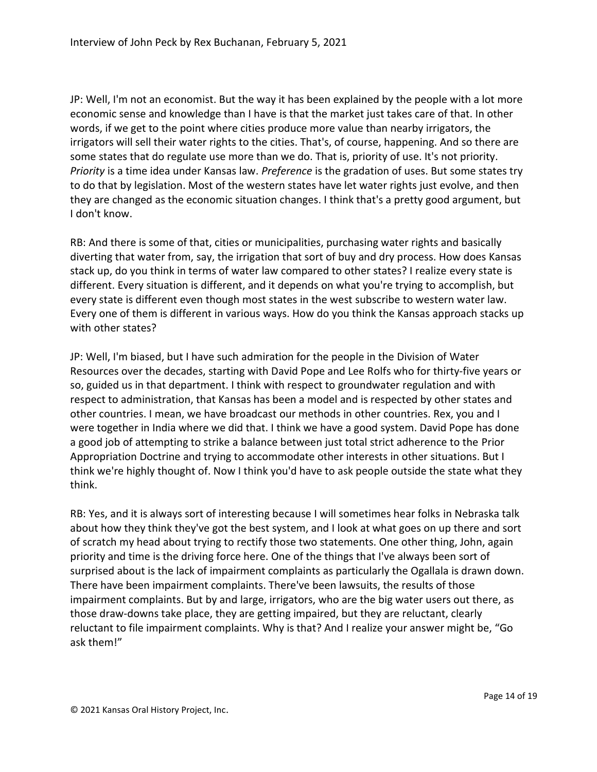JP: Well, I'm not an economist. But the way it has been explained by the people with a lot more economic sense and knowledge than I have is that the market just takes care of that. In other words, if we get to the point where cities produce more value than nearby irrigators, the irrigators will sell their water rights to the cities. That's, of course, happening. And so there are some states that do regulate use more than we do. That is, priority of use. It's not priority. *Priority* is a time idea under Kansas law. *Preference* is the gradation of uses. But some states try to do that by legislation. Most of the western states have let water rights just evolve, and then they are changed as the economic situation changes. I think that's a pretty good argument, but I don't know.

RB: And there is some of that, cities or municipalities, purchasing water rights and basically diverting that water from, say, the irrigation that sort of buy and dry process. How does Kansas stack up, do you think in terms of water law compared to other states? I realize every state is different. Every situation is different, and it depends on what you're trying to accomplish, but every state is different even though most states in the west subscribe to western water law. Every one of them is different in various ways. How do you think the Kansas approach stacks up with other states?

JP: Well, I'm biased, but I have such admiration for the people in the Division of Water Resources over the decades, starting with David Pope and Lee Rolfs who for thirty-five years or so, guided us in that department. I think with respect to groundwater regulation and with respect to administration, that Kansas has been a model and is respected by other states and other countries. I mean, we have broadcast our methods in other countries. Rex, you and I were together in India where we did that. I think we have a good system. David Pope has done a good job of attempting to strike a balance between just total strict adherence to the Prior Appropriation Doctrine and trying to accommodate other interests in other situations. But I think we're highly thought of. Now I think you'd have to ask people outside the state what they think.

RB: Yes, and it is always sort of interesting because I will sometimes hear folks in Nebraska talk about how they think they've got the best system, and I look at what goes on up there and sort of scratch my head about trying to rectify those two statements. One other thing, John, again priority and time is the driving force here. One of the things that I've always been sort of surprised about is the lack of impairment complaints as particularly the Ogallala is drawn down. There have been impairment complaints. There've been lawsuits, the results of those impairment complaints. But by and large, irrigators, who are the big water users out there, as those draw-downs take place, they are getting impaired, but they are reluctant, clearly reluctant to file impairment complaints. Why is that? And I realize your answer might be, "Go ask them!"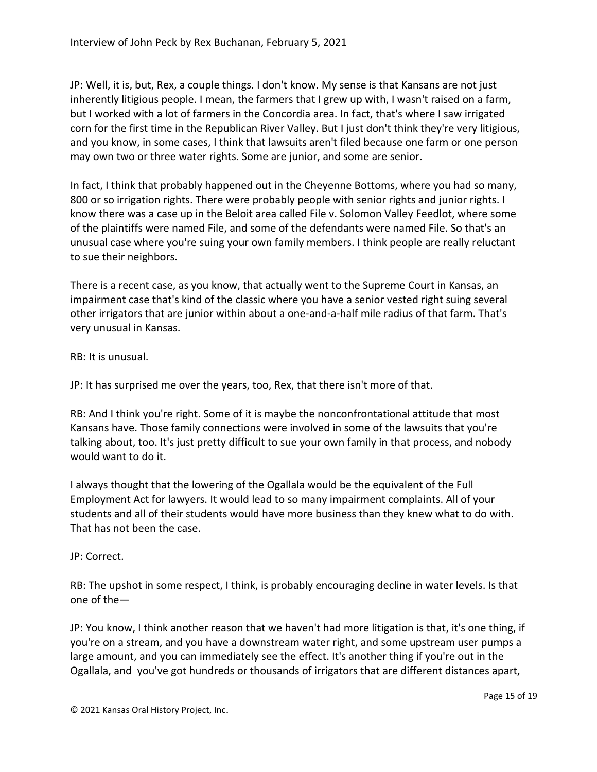JP: Well, it is, but, Rex, a couple things. I don't know. My sense is that Kansans are not just inherently litigious people. I mean, the farmers that I grew up with, I wasn't raised on a farm, but I worked with a lot of farmers in the Concordia area. In fact, that's where I saw irrigated corn for the first time in the Republican River Valley. But I just don't think they're very litigious, and you know, in some cases, I think that lawsuits aren't filed because one farm or one person may own two or three water rights. Some are junior, and some are senior.

In fact, I think that probably happened out in the Cheyenne Bottoms, where you had so many, 800 or so irrigation rights. There were probably people with senior rights and junior rights. I know there was a case up in the Beloit area called File v. Solomon Valley Feedlot, where some of the plaintiffs were named File, and some of the defendants were named File. So that's an unusual case where you're suing your own family members. I think people are really reluctant to sue their neighbors.

There is a recent case, as you know, that actually went to the Supreme Court in Kansas, an impairment case that's kind of the classic where you have a senior vested right suing several other irrigators that are junior within about a one-and-a-half mile radius of that farm. That's very unusual in Kansas.

RB: It is unusual.

JP: It has surprised me over the years, too, Rex, that there isn't more of that.

RB: And I think you're right. Some of it is maybe the nonconfrontational attitude that most Kansans have. Those family connections were involved in some of the lawsuits that you're talking about, too. It's just pretty difficult to sue your own family in that process, and nobody would want to do it.

I always thought that the lowering of the Ogallala would be the equivalent of the Full Employment Act for lawyers. It would lead to so many impairment complaints. All of your students and all of their students would have more business than they knew what to do with. That has not been the case.

JP: Correct.

RB: The upshot in some respect, I think, is probably encouraging decline in water levels. Is that one of the—

JP: You know, I think another reason that we haven't had more litigation is that, it's one thing, if you're on a stream, and you have a downstream water right, and some upstream user pumps a large amount, and you can immediately see the effect. It's another thing if you're out in the Ogallala, and you've got hundreds or thousands of irrigators that are different distances apart,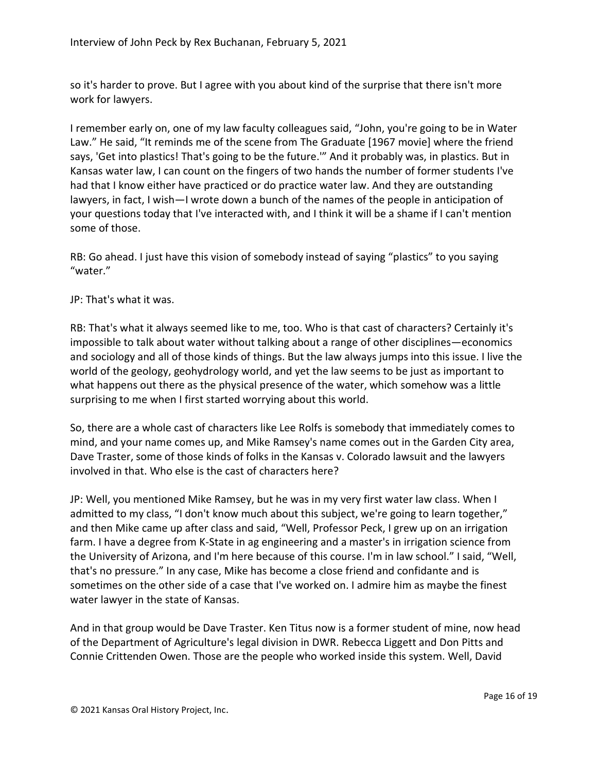so it's harder to prove. But I agree with you about kind of the surprise that there isn't more work for lawyers.

I remember early on, one of my law faculty colleagues said, "John, you're going to be in Water Law." He said, "It reminds me of the scene from The Graduate [1967 movie] where the friend says, 'Get into plastics! That's going to be the future."" And it probably was, in plastics. But in Kansas water law, I can count on the fingers of two hands the number of former students I've had that I know either have practiced or do practice water law. And they are outstanding lawyers, in fact, I wish—I wrote down a bunch of the names of the people in anticipation of your questions today that I've interacted with, and I think it will be a shame if I can't mention some of those.

RB: Go ahead. I just have this vision of somebody instead of saying "plastics" to you saying "water."

JP: That's what it was.

RB: That's what it always seemed like to me, too. Who is that cast of characters? Certainly it's impossible to talk about water without talking about a range of other disciplines—economics and sociology and all of those kinds of things. But the law always jumps into this issue. I live the world of the geology, geohydrology world, and yet the law seems to be just as important to what happens out there as the physical presence of the water, which somehow was a little surprising to me when I first started worrying about this world.

So, there are a whole cast of characters like Lee Rolfs is somebody that immediately comes to mind, and your name comes up, and Mike Ramsey's name comes out in the Garden City area, Dave Traster, some of those kinds of folks in the Kansas v. Colorado lawsuit and the lawyers involved in that. Who else is the cast of characters here?

JP: Well, you mentioned Mike Ramsey, but he was in my very first water law class. When I admitted to my class, "I don't know much about this subject, we're going to learn together," and then Mike came up after class and said, "Well, Professor Peck, I grew up on an irrigation farm. I have a degree from K-State in ag engineering and a master's in irrigation science from the University of Arizona, and I'm here because of this course. I'm in law school." I said, "Well, that's no pressure." In any case, Mike has become a close friend and confidante and is sometimes on the other side of a case that I've worked on. I admire him as maybe the finest water lawyer in the state of Kansas.

And in that group would be Dave Traster. Ken Titus now is a former student of mine, now head of the Department of Agriculture's legal division in DWR. Rebecca Liggett and Don Pitts and Connie Crittenden Owen. Those are the people who worked inside this system. Well, David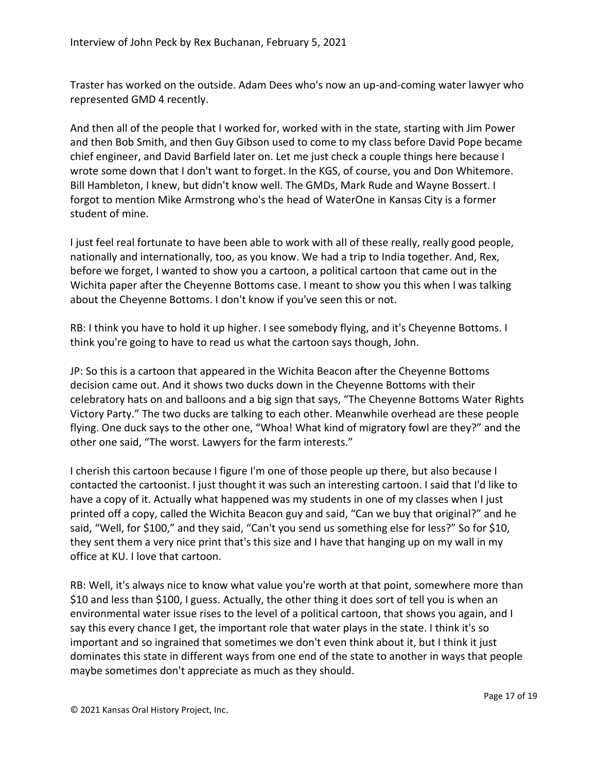Traster has worked on the outside. Adam Dees who's now an up-and-coming water lawyer who represented GMD 4 recently.

And then all of the people that I worked for, worked with in the state, starting with Jim Power and then Bob Smith, and then Guy Gibson used to come to my class before David Pope became chief engineer, and David Barfield later on. Let me just check a couple things here because I wrote some down that I don't want to forget. In the KGS, of course, you and Don Whitemore. Bill Hambleton, I knew, but didn't know well. The GMDs, Mark Rude and Wayne Bossert. I forgot to mention Mike Armstrong who's the head of WaterOne in Kansas City is a former student of mine.

I just feel real fortunate to have been able to work with all of these really, really good people, nationally and internationally, too, as you know. We had a trip to India together. And, Rex, before we forget, I wanted to show you a cartoon, a political cartoon that came out in the Wichita paper after the Cheyenne Bottoms case. I meant to show you this when I was talking about the Cheyenne Bottoms. I don't know if you've seen this or not.

RB: I think you have to hold it up higher. I see somebody flying, and it's Cheyenne Bottoms. I think you're going to have to read us what the cartoon says though, John.

JP: So this is a cartoon that appeared in the Wichita Beacon after the Cheyenne Bottoms decision came out. And it shows two ducks down in the Cheyenne Bottoms with their celebratory hats on and balloons and a big sign that says, "The Cheyenne Bottoms Water Rights Victory Party." The two ducks are talking to each other. Meanwhile overhead are these people flying. One duck says to the other one, "Whoa! What kind of migratory fowl are they?" and the other one said, "The worst. Lawyers for the farm interests."

I cherish this cartoon because I figure I'm one of those people up there, but also because I contacted the cartoonist. I just thought it was such an interesting cartoon. I said that I'd like to have a copy of it. Actually what happened was my students in one of my classes when I just printed off a copy, called the Wichita Beacon guy and said, "Can we buy that original?" and he said, "Well, for \$100," and they said, "Can't you send us something else for less?" So for \$10, they sent them a very nice print that's this size and I have that hanging up on my wall in my office at KU. I love that cartoon.

RB: Well, it's always nice to know what value you're worth at that point, somewhere more than \$10 and less than \$100, I guess. Actually, the other thing it does sort of tell you is when an environmental water issue rises to the level of a political cartoon, that shows you again, and I say this every chance I get, the important role that water plays in the state. I think it's so important and so ingrained that sometimes we don't even think about it, but I think it just dominates this state in different ways from one end of the state to another in ways that people maybe sometimes don't appreciate as much as they should.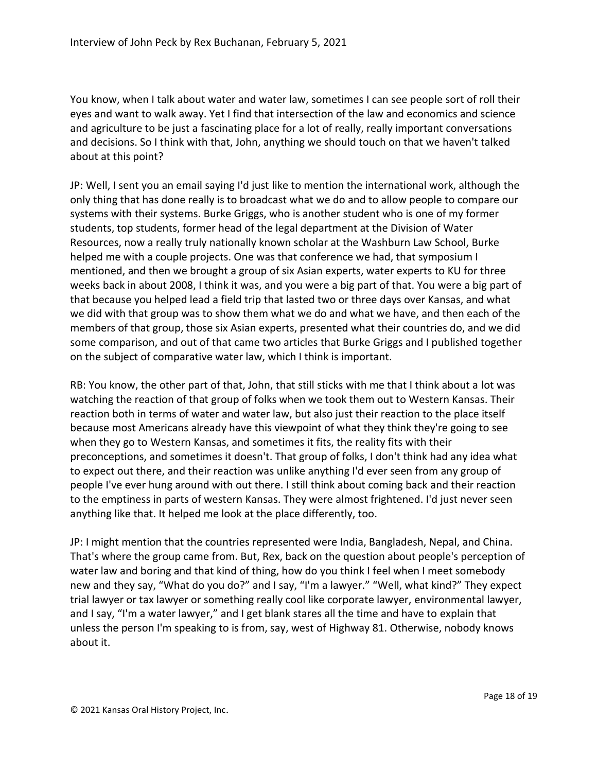You know, when I talk about water and water law, sometimes I can see people sort of roll their eyes and want to walk away. Yet I find that intersection of the law and economics and science and agriculture to be just a fascinating place for a lot of really, really important conversations and decisions. So I think with that, John, anything we should touch on that we haven't talked about at this point?

JP: Well, I sent you an email saying I'd just like to mention the international work, although the only thing that has done really is to broadcast what we do and to allow people to compare our systems with their systems. Burke Griggs, who is another student who is one of my former students, top students, former head of the legal department at the Division of Water Resources, now a really truly nationally known scholar at the Washburn Law School, Burke helped me with a couple projects. One was that conference we had, that symposium I mentioned, and then we brought a group of six Asian experts, water experts to KU for three weeks back in about 2008, I think it was, and you were a big part of that. You were a big part of that because you helped lead a field trip that lasted two or three days over Kansas, and what we did with that group was to show them what we do and what we have, and then each of the members of that group, those six Asian experts, presented what their countries do, and we did some comparison, and out of that came two articles that Burke Griggs and I published together on the subject of comparative water law, which I think is important.

RB: You know, the other part of that, John, that still sticks with me that I think about a lot was watching the reaction of that group of folks when we took them out to Western Kansas. Their reaction both in terms of water and water law, but also just their reaction to the place itself because most Americans already have this viewpoint of what they think they're going to see when they go to Western Kansas, and sometimes it fits, the reality fits with their preconceptions, and sometimes it doesn't. That group of folks, I don't think had any idea what to expect out there, and their reaction was unlike anything I'd ever seen from any group of people I've ever hung around with out there. I still think about coming back and their reaction to the emptiness in parts of western Kansas. They were almost frightened. I'd just never seen anything like that. It helped me look at the place differently, too.

JP: I might mention that the countries represented were India, Bangladesh, Nepal, and China. That's where the group came from. But, Rex, back on the question about people's perception of water law and boring and that kind of thing, how do you think I feel when I meet somebody new and they say, "What do you do?" and I say, "I'm a lawyer." "Well, what kind?" They expect trial lawyer or tax lawyer or something really cool like corporate lawyer, environmental lawyer, and I say, "I'm a water lawyer," and I get blank stares all the time and have to explain that unless the person I'm speaking to is from, say, west of Highway 81. Otherwise, nobody knows about it.